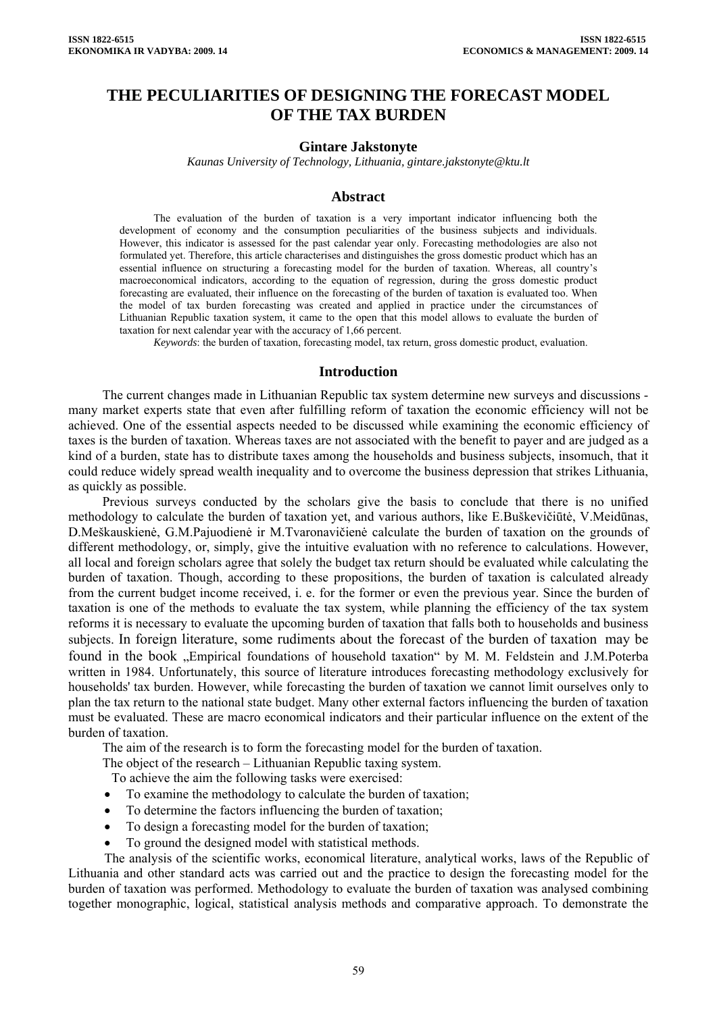# **THE PECULIARITIES OF DESIGNING THE FORECAST MODEL OF THE TAX BURDEN**

### **Gintare Jakstonyte**

*Kaunas University of Technology, Lithuania, gintare.jakstonyte@ktu.lt* 

### **Abstract**

The evaluation of the burden of taxation is a very important indicator influencing both the development of economy and the consumption peculiarities of the business subjects and individuals. However, this indicator is assessed for the past calendar year only. Forecasting methodologies are also not formulated yet. Therefore, this article characterises and distinguishes the gross domestic product which has an essential influence on structuring a forecasting model for the burden of taxation. Whereas, all country's macroeconomical indicators, according to the equation of regression, during the gross domestic product forecasting are evaluated, their influence on the forecasting of the burden of taxation is evaluated too. When the model of tax burden forecasting was created and applied in practice under the circumstances of Lithuanian Republic taxation system, it came to the open that this model allows to evaluate the burden of taxation for next calendar year with the accuracy of 1,66 percent.

*Keywords*: the burden of taxation, forecasting model, tax return, gross domestic product, evaluation.

#### **Introduction**

The current changes made in Lithuanian Republic tax system determine new surveys and discussions many market experts state that even after fulfilling reform of taxation the economic efficiency will not be achieved. One of the essential aspects needed to be discussed while examining the economic efficiency of taxes is the burden of taxation. Whereas taxes are not associated with the benefit to payer and are judged as a kind of a burden, state has to distribute taxes among the households and business subjects, insomuch, that it could reduce widely spread wealth inequality and to overcome the business depression that strikes Lithuania, as quickly as possible.

Previous surveys conducted by the scholars give the basis to conclude that there is no unified methodology to calculate the burden of taxation yet, and various authors, like E.Buškevičiūtė, V.Meidūnas, D.Meškauskienė, G.M.Pajuodienė ir M.Tvaronavičienė calculate the burden of taxation on the grounds of different methodology, or, simply, give the intuitive evaluation with no reference to calculations. However, all local and foreign scholars agree that solely the budget tax return should be evaluated while calculating the burden of taxation. Though, according to these propositions, the burden of taxation is calculated already from the current budget income received, i. e. for the former or even the previous year. Since the burden of taxation is one of the methods to evaluate the tax system, while planning the efficiency of the tax system reforms it is necessary to evaluate the upcoming burden of taxation that falls both to households and business subjects. In foreign literature, some rudiments about the forecast of the burden of taxation may be found in the book ..Empirical foundations of household taxation by M. M. Feldstein and J.M.Poterba written in 1984. Unfortunately, this source of literature introduces forecasting methodology exclusively for households' tax burden. However, while forecasting the burden of taxation we cannot limit ourselves only to plan the tax return to the national state budget. Many other external factors influencing the burden of taxation must be evaluated. These are macro economical indicators and their particular influence on the extent of the burden of taxation.

The aim of the research is to form the forecasting model for the burden of taxation.

The object of the research – Lithuanian Republic taxing system.

To achieve the aim the following tasks were exercised:

- To examine the methodology to calculate the burden of taxation;
- To determine the factors influencing the burden of taxation;
- To design a forecasting model for the burden of taxation;
- To ground the designed model with statistical methods.

The analysis of the scientific works, economical literature, analytical works, laws of the Republic of Lithuania and other standard acts was carried out and the practice to design the forecasting model for the burden of taxation was performed. Methodology to evaluate the burden of taxation was analysed combining together monographic, logical, statistical analysis methods and comparative approach. To demonstrate the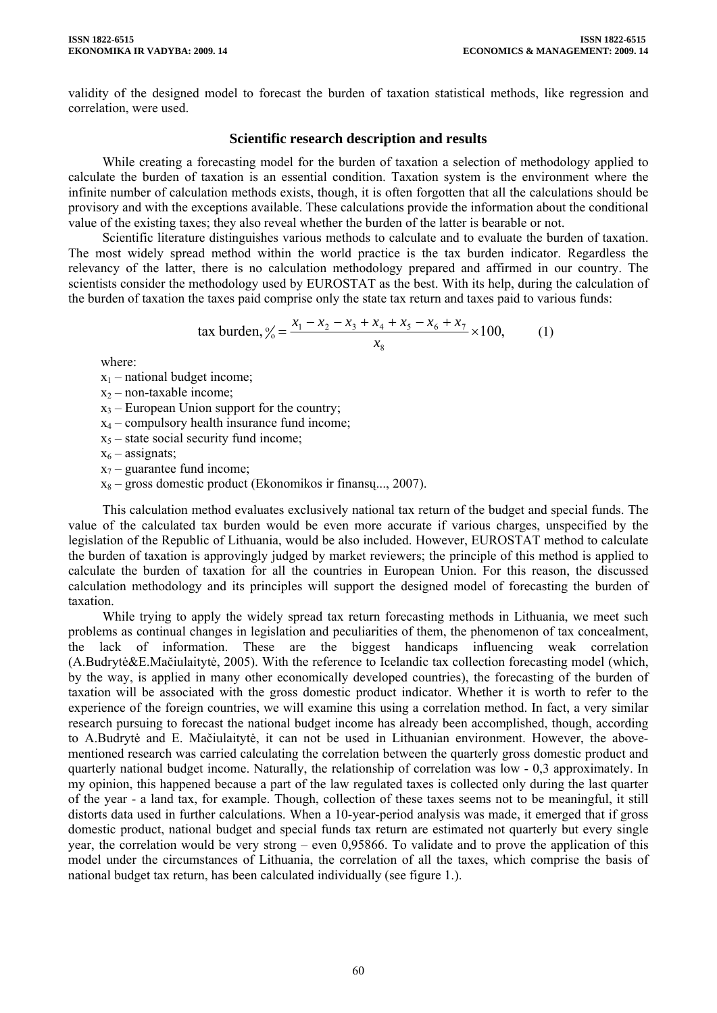validity of the designed model to forecast the burden of taxation statistical methods, like regression and correlation, were used.

# **Scientific research description and results**

While creating a forecasting model for the burden of taxation a selection of methodology applied to calculate the burden of taxation is an essential condition. Taxation system is the environment where the infinite number of calculation methods exists, though, it is often forgotten that all the calculations should be provisory and with the exceptions available. These calculations provide the information about the conditional value of the existing taxes; they also reveal whether the burden of the latter is bearable or not.

Scientific literature distinguishes various methods to calculate and to evaluate the burden of taxation. The most widely spread method within the world practice is the tax burden indicator. Regardless the relevancy of the latter, there is no calculation methodology prepared and affirmed in our country. The scientists consider the methodology used by EUROSTAT as the best. With its help, during the calculation of the burden of taxation the taxes paid comprise only the state tax return and taxes paid to various funds:

tax burden, 
$$
\frac{y_0}{z_0} = \frac{x_1 - x_2 - x_3 + x_4 + x_5 - x_6 + x_7}{x_8} \times 100,
$$
 (1)

where:

 $x_1$  – national budget income;

 $x_2$  – non-taxable income;

 $x_3$  – European Union support for the country;

- $x_4$  compulsory health insurance fund income;
- $x<sub>5</sub>$  state social security fund income;

 $x_6$  – assignats;

 $x_7$  – guarantee fund income;

 $x_8$  – gross domestic product (Ekonomikos ir finansų..., 2007).

This calculation method evaluates exclusively national tax return of the budget and special funds. The value of the calculated tax burden would be even more accurate if various charges, unspecified by the legislation of the Republic of Lithuania, would be also included. However, EUROSTAT method to calculate the burden of taxation is approvingly judged by market reviewers; the principle of this method is applied to calculate the burden of taxation for all the countries in European Union. For this reason, the discussed calculation methodology and its principles will support the designed model of forecasting the burden of taxation.

While trying to apply the widely spread tax return forecasting methods in Lithuania, we meet such problems as continual changes in legislation and peculiarities of them, the phenomenon of tax concealment, the lack of information. These are the biggest handicaps influencing weak correlation (A.Budrytė&E.Mačiulaitytė, 2005). With the reference to Icelandic tax collection forecasting model (which, by the way, is applied in many other economically developed countries), the forecasting of the burden of taxation will be associated with the gross domestic product indicator. Whether it is worth to refer to the experience of the foreign countries, we will examine this using a correlation method. In fact, a very similar research pursuing to forecast the national budget income has already been accomplished, though, according to A.Budrytė and E. Mačiulaitytė, it can not be used in Lithuanian environment. However, the abovementioned research was carried calculating the correlation between the quarterly gross domestic product and quarterly national budget income. Naturally, the relationship of correlation was low - 0,3 approximately. In my opinion, this happened because a part of the law regulated taxes is collected only during the last quarter of the year - a land tax, for example. Though, collection of these taxes seems not to be meaningful, it still distorts data used in further calculations. When a 10-year-period analysis was made, it emerged that if gross domestic product, national budget and special funds tax return are estimated not quarterly but every single year, the correlation would be very strong – even 0,95866. To validate and to prove the application of this model under the circumstances of Lithuania, the correlation of all the taxes, which comprise the basis of national budget tax return, has been calculated individually (see figure 1.).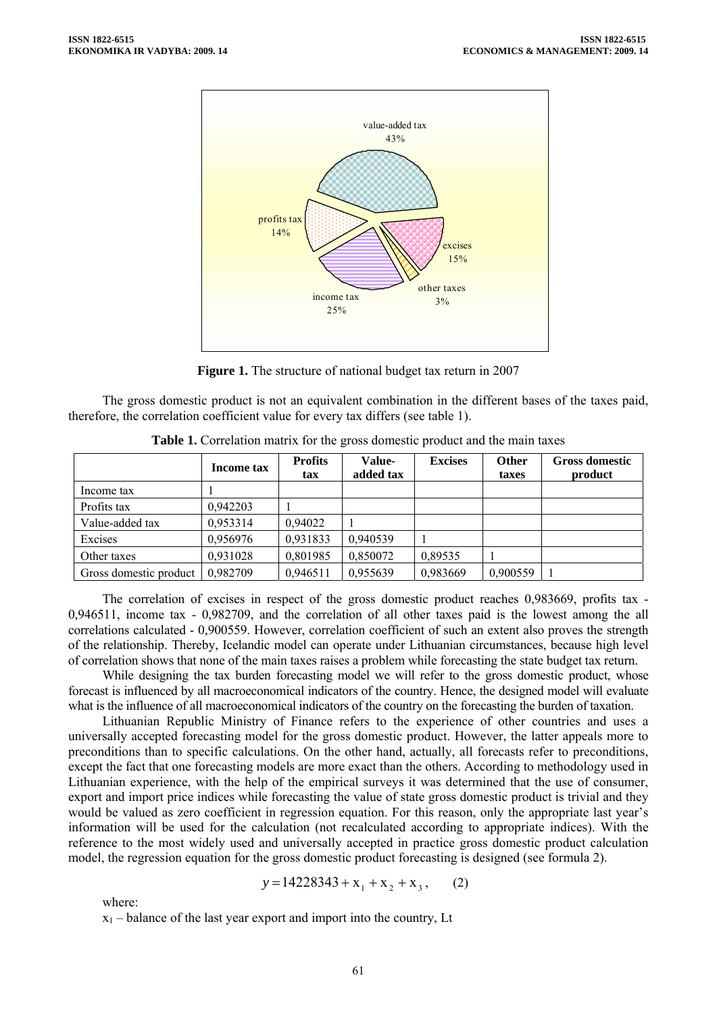

**Figure 1.** The structure of national budget tax return in 2007

The gross domestic product is not an equivalent combination in the different bases of the taxes paid, therefore, the correlation coefficient value for every tax differs (see table 1).

|                        | Income tax | <b>Profits</b><br>tax | <b>Value-</b><br>added tax | <b>Excises</b> | <b>Other</b><br>taxes | <b>Gross domestic</b><br>product |
|------------------------|------------|-----------------------|----------------------------|----------------|-----------------------|----------------------------------|
| Income tax             |            |                       |                            |                |                       |                                  |
| Profits tax            | 0,942203   |                       |                            |                |                       |                                  |
| Value-added tax        | 0,953314   | 0,94022               |                            |                |                       |                                  |
| Excises                | 0,956976   | 0,931833              | 0,940539                   |                |                       |                                  |
| Other taxes            | 0,931028   | 0,801985              | 0,850072                   | 0,89535        |                       |                                  |
| Gross domestic product | 0,982709   | 0,946511              | 0,955639                   | 0,983669       | 0,900559              |                                  |

**Table 1.** Correlation matrix for the gross domestic product and the main taxes

The correlation of excises in respect of the gross domestic product reaches 0,983669, profits tax - 0,946511, income tax - 0,982709, and the correlation of all other taxes paid is the lowest among the all correlations calculated - 0,900559. However, correlation coefficient of such an extent also proves the strength of the relationship. Thereby, Icelandic model can operate under Lithuanian circumstances, because high level of correlation shows that none of the main taxes raises a problem while forecasting the state budget tax return.

While designing the tax burden forecasting model we will refer to the gross domestic product, whose forecast is influenced by all macroeconomical indicators of the country. Hence, the designed model will evaluate what is the influence of all macroeconomical indicators of the country on the forecasting the burden of taxation.

Lithuanian Republic Ministry of Finance refers to the experience of other countries and uses a universally accepted forecasting model for the gross domestic product. However, the latter appeals more to preconditions than to specific calculations. On the other hand, actually, all forecasts refer to preconditions, except the fact that one forecasting models are more exact than the others. According to methodology used in Lithuanian experience, with the help of the empirical surveys it was determined that the use of consumer, export and import price indices while forecasting the value of state gross domestic product is trivial and they would be valued as zero coefficient in regression equation. For this reason, only the appropriate last year's information will be used for the calculation (not recalculated according to appropriate indices). With the reference to the most widely used and universally accepted in practice gross domestic product calculation model, the regression equation for the gross domestic product forecasting is designed (see formula 2).

$$
y = 14228343 + x_1 + x_2 + x_3, \qquad (2)
$$

where:

 $x_1$  – balance of the last year export and import into the country, Lt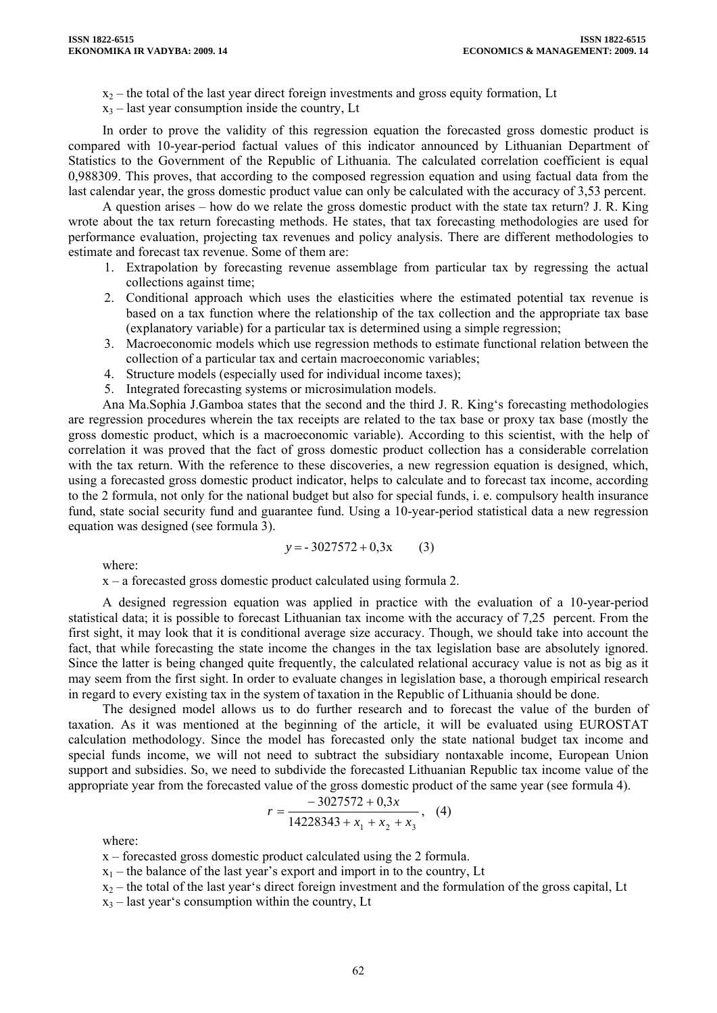- $x_2$  the total of the last year direct foreign investments and gross equity formation, Lt
- $x_3$  last year consumption inside the country, Lt

In order to prove the validity of this regression equation the forecasted gross domestic product is compared with 10-year-period factual values of this indicator announced by Lithuanian Department of Statistics to the Government of the Republic of Lithuania. The calculated correlation coefficient is equal 0,988309. This proves, that according to the composed regression equation and using factual data from the last calendar year, the gross domestic product value can only be calculated with the accuracy of 3,53 percent.

A question arises – how do we relate the gross domestic product with the state tax return? J. R. King wrote about the tax return forecasting methods. He states, that tax forecasting methodologies are used for performance evaluation, projecting tax revenues and policy analysis. There are different methodologies to estimate and forecast tax revenue. Some of them are:

- 1. Extrapolation by forecasting revenue assemblage from particular tax by regressing the actual collections against time;
- 2. Conditional approach which uses the elasticities where the estimated potential tax revenue is based on a tax function where the relationship of the tax collection and the appropriate tax base (explanatory variable) for a particular tax is determined using a simple regression;
- 3. Macroeconomic models which use regression methods to estimate functional relation between the collection of a particular tax and certain macroeconomic variables;
- 4. Structure models (especially used for individual income taxes);
- 5. Integrated forecasting systems or microsimulation models.

Ana Ma.Sophia J.Gamboa states that the second and the third J. R. King's forecasting methodologies are regression procedures wherein the tax receipts are related to the tax base or proxy tax base (mostly the gross domestic product, which is a macroeconomic variable). According to this scientist, with the help of correlation it was proved that the fact of gross domestic product collection has a considerable correlation with the tax return. With the reference to these discoveries, a new regression equation is designed, which, using a forecasted gross domestic product indicator, helps to calculate and to forecast tax income, according to the 2 formula, not only for the national budget but also for special funds, i. e. compulsory health insurance fund, state social security fund and guarantee fund. Using a 10-year-period statistical data a new regression equation was designed (see formula 3).

$$
y = -3027572 + 0.3x \tag{3}
$$

where:

x – a forecasted gross domestic product calculated using formula 2.

A designed regression equation was applied in practice with the evaluation of a 10-year-period statistical data; it is possible to forecast Lithuanian tax income with the accuracy of 7,25 percent. From the first sight, it may look that it is conditional average size accuracy. Though, we should take into account the fact, that while forecasting the state income the changes in the tax legislation base are absolutely ignored. Since the latter is being changed quite frequently, the calculated relational accuracy value is not as big as it may seem from the first sight. In order to evaluate changes in legislation base, a thorough empirical research in regard to every existing tax in the system of taxation in the Republic of Lithuania should be done.

The designed model allows us to do further research and to forecast the value of the burden of taxation. As it was mentioned at the beginning of the article, it will be evaluated using EUROSTAT calculation methodology. Since the model has forecasted only the state national budget tax income and special funds income, we will not need to subtract the subsidiary nontaxable income, European Union support and subsidies. So, we need to subdivide the forecasted Lithuanian Republic tax income value of the appropriate year from the forecasted value of the gross domestic product of the same year (see formula 4).

$$
r = \frac{-3027572 + 0.3x}{14228343 + x_1 + x_2 + x_3},
$$
 (4)

where:

x – forecasted gross domestic product calculated using the 2 formula.

 $x_1$  – the balance of the last year's export and import in to the country, Lt

 $x_2$  – the total of the last year's direct foreign investment and the formulation of the gross capital, Lt

 $x_3$  – last year's consumption within the country, Lt